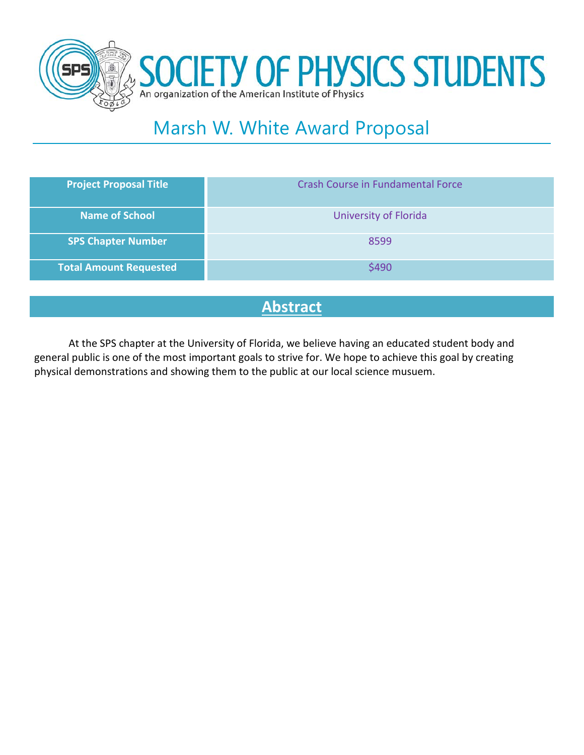



# Marsh W. White Award Proposal

| <b>Project Proposal Title</b> | <b>Crash Course in Fundamental Force</b> |
|-------------------------------|------------------------------------------|
| <b>Name of School</b>         | University of Florida                    |
| <b>SPS Chapter Number</b>     | 8599                                     |
| <b>Total Amount Requested</b> | \$490                                    |

### **Abstract**

At the SPS chapter at the University of Florida, we believe having an educated student body and general public is one of the most important goals to strive for. We hope to achieve this goal by creating physical demonstrations and showing them to the public at our local science musuem.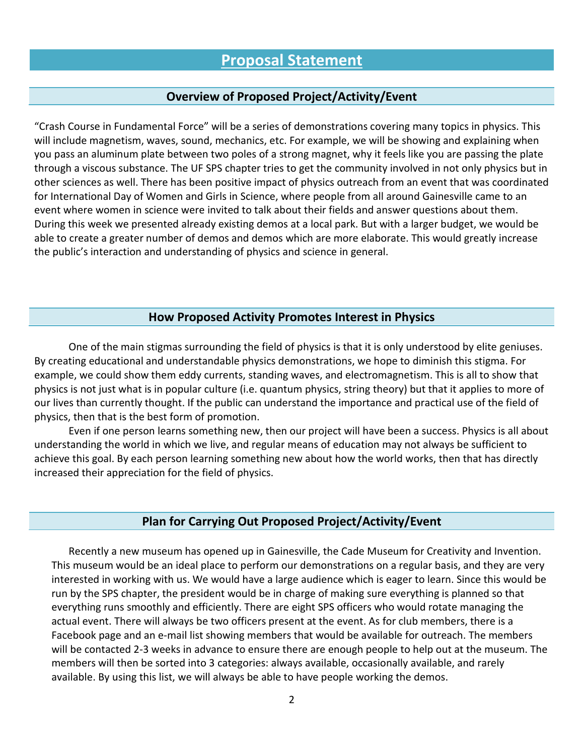#### **Overview of Proposed Project/Activity/Event**

"Crash Course in Fundamental Force" will be a series of demonstrations covering many topics in physics. This will include magnetism, waves, sound, mechanics, etc. For example, we will be showing and explaining when you pass an aluminum plate between two poles of a strong magnet, why it feels like you are passing the plate through a viscous substance. The UF SPS chapter tries to get the community involved in not only physics but in other sciences as well. There has been positive impact of physics outreach from an event that was coordinated for International Day of Women and Girls in Science, where people from all around Gainesville came to an event where women in science were invited to talk about their fields and answer questions about them. During this week we presented already existing demos at a local park. But with a larger budget, we would be able to create a greater number of demos and demos which are more elaborate. This would greatly increase the public's interaction and understanding of physics and science in general.

#### **How Proposed Activity Promotes Interest in Physics**

One of the main stigmas surrounding the field of physics is that it is only understood by elite geniuses. By creating educational and understandable physics demonstrations, we hope to diminish this stigma. For example, we could show them eddy currents, standing waves, and electromagnetism. This is all to show that physics is not just what is in popular culture (i.e. quantum physics, string theory) but that it applies to more of our lives than currently thought. If the public can understand the importance and practical use of the field of physics, then that is the best form of promotion.

Even if one person learns something new, then our project will have been a success. Physics is all about understanding the world in which we live, and regular means of education may not always be sufficient to achieve this goal. By each person learning something new about how the world works, then that has directly increased their appreciation for the field of physics.

#### **Plan for Carrying Out Proposed Project/Activity/Event**

Recently a new museum has opened up in Gainesville, the Cade Museum for Creativity and Invention. This museum would be an ideal place to perform our demonstrations on a regular basis, and they are very interested in working with us. We would have a large audience which is eager to learn. Since this would be run by the SPS chapter, the president would be in charge of making sure everything is planned so that everything runs smoothly and efficiently. There are eight SPS officers who would rotate managing the actual event. There will always be two officers present at the event. As for club members, there is a Facebook page and an e-mail list showing members that would be available for outreach. The members will be contacted 2-3 weeks in advance to ensure there are enough people to help out at the museum. The members will then be sorted into 3 categories: always available, occasionally available, and rarely available. By using this list, we will always be able to have people working the demos.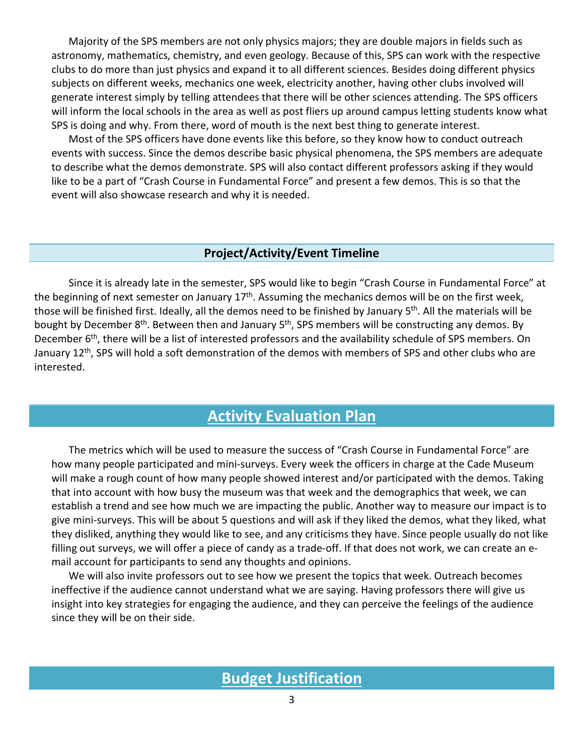Majority of the SPS members are not only physics majors; they are double majors in fields such as astronomy, mathematics, chemistry, and even geology. Because of this, SPS can work with the respective clubs to do more than just physics and expand it to all different sciences. Besides doing different physics subjects on different weeks, mechanics one week, electricity another, having other clubs involved will generate interest simply by telling attendees that there will be other sciences attending. The SPS officers will inform the local schools in the area as well as post fliers up around campus letting students know what SPS is doing and why. From there, word of mouth is the next best thing to generate interest.

Most of the SPS officers have done events like this before, so they know how to conduct outreach events with success. Since the demos describe basic physical phenomena, the SPS members are adequate to describe what the demos demonstrate. SPS will also contact different professors asking if they would like to be a part of "Crash Course in Fundamental Force" and present a few demos. This is so that the event will also showcase research and why it is needed.

#### **Project/Activity/Event Timeline**

Since it is already late in the semester, SPS would like to begin "Crash Course in Fundamental Force" at the beginning of next semester on January 17<sup>th</sup>. Assuming the mechanics demos will be on the first week, those will be finished first. Ideally, all the demos need to be finished by January 5<sup>th</sup>. All the materials will be bought by December 8<sup>th</sup>. Between then and January 5<sup>th</sup>, SPS members will be constructing any demos. By December 6<sup>th</sup>, there will be a list of interested professors and the availability schedule of SPS members. On January 12<sup>th</sup>, SPS will hold a soft demonstration of the demos with members of SPS and other clubs who are interested.

## **Activity Evaluation Plan**

The metrics which will be used to measure the success of "Crash Course in Fundamental Force" are how many people participated and mini-surveys. Every week the officers in charge at the Cade Museum will make a rough count of how many people showed interest and/or participated with the demos. Taking that into account with how busy the museum was that week and the demographics that week, we can establish a trend and see how much we are impacting the public. Another way to measure our impact is to give mini-surveys. This will be about 5 questions and will ask if they liked the demos, what they liked, what they disliked, anything they would like to see, and any criticisms they have. Since people usually do not like filling out surveys, we will offer a piece of candy as a trade-off. If that does not work, we can create an email account for participants to send any thoughts and opinions.

We will also invite professors out to see how we present the topics that week. Outreach becomes ineffective if the audience cannot understand what we are saying. Having professors there will give us insight into key strategies for engaging the audience, and they can perceive the feelings of the audience since they will be on their side.